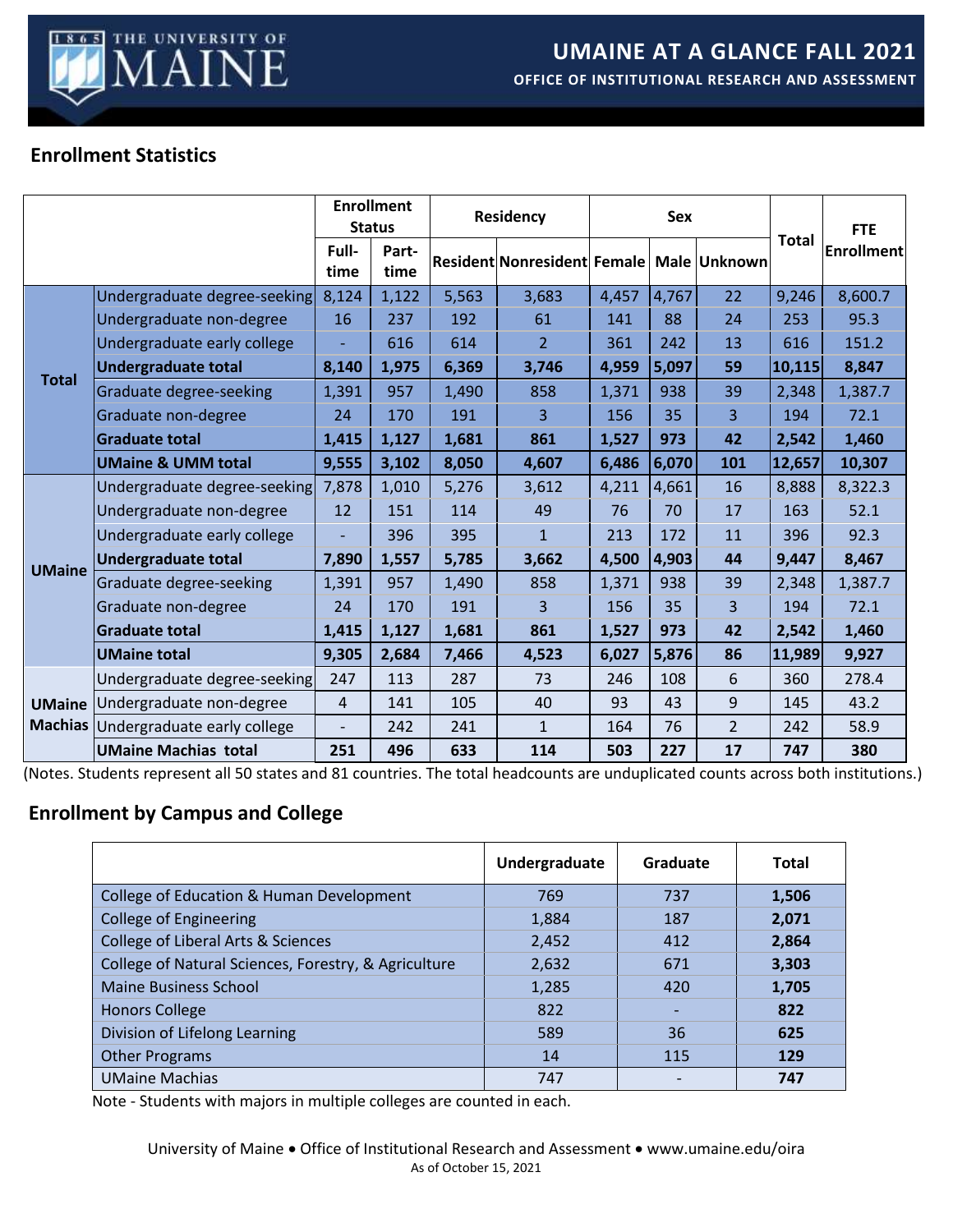

# **Enrollment Statistics**

|               |                                     |                | <b>Enrollment</b><br><b>Status</b> | Residency |                                          | <b>Sex</b> |       |                | <b>FTE</b>   |                   |
|---------------|-------------------------------------|----------------|------------------------------------|-----------|------------------------------------------|------------|-------|----------------|--------------|-------------------|
|               |                                     | Full-<br>time  | Part-<br>time                      |           | Resident Nonresident Female Male Unknown |            |       |                | <b>Total</b> | <b>Enrollment</b> |
|               | Undergraduate degree-seeking        | 8,124          | 1,122                              | 5,563     | 3,683                                    | 4,457      | 4,767 | 22             | 9,246        | 8,600.7           |
|               | Undergraduate non-degree            | 16             | 237                                | 192       | 61                                       | 141        | 88    | 24             | 253          | 95.3              |
|               | Undergraduate early college         |                | 616                                | 614       | $\overline{2}$                           | 361        | 242   | 13             | 616          | 151.2             |
|               | <b>Undergraduate total</b>          | 8,140          | 1,975                              | 6,369     | 3,746                                    | 4,959      | 5,097 | 59             | 10, 115      | 8,847             |
| <b>Total</b>  | Graduate degree-seeking             | 1,391          | 957                                | 1,490     | 858                                      | 1,371      | 938   | 39             | 2,348        | 1,387.7           |
|               | Graduate non-degree                 | 24             | 170                                | 191       | 3                                        | 156        | 35    | 3              | 194          | 72.1              |
|               | <b>Graduate total</b>               | 1,415          | 1,127                              | 1,681     | 861                                      | 1,527      | 973   | 42             | 2,542        | 1,460             |
|               | <b>UMaine &amp; UMM total</b>       | 9,555          | 3,102                              | 8,050     | 4,607                                    | 6,486      | 6,070 | 101            | 12,657       | 10,307            |
|               | Undergraduate degree-seeking        | 7,878          | 1,010                              | 5,276     | 3,612                                    | 4,211      | 4,661 | 16             | 8,888        | 8,322.3           |
|               | Undergraduate non-degree            | 12             | 151                                | 114       | 49                                       | 76         | 70    | 17             | 163          | 52.1              |
|               | Undergraduate early college         |                | 396                                | 395       | $\mathbf{1}$                             | 213        | 172   | 11             | 396          | 92.3              |
| <b>UMaine</b> | <b>Undergraduate total</b>          | 7,890          | 1,557                              | 5,785     | 3,662                                    | 4,500      | 4,903 | 44             | 9,447        | 8,467             |
|               | Graduate degree-seeking             | 1,391          | 957                                | 1,490     | 858                                      | 1,371      | 938   | 39             | 2,348        | 1,387.7           |
|               | Graduate non-degree                 | 24             | 170                                | 191       | $\overline{3}$                           | 156        | 35    | $\overline{3}$ | 194          | 72.1              |
|               | <b>Graduate total</b>               | 1,415          | 1,127                              | 1,681     | 861                                      | 1,527      | 973   | 42             | 2,542        | 1,460             |
|               | <b>UMaine total</b>                 | 9,305          | 2,684                              | 7,466     | 4,523                                    | 6,027      | 5,876 | 86             | 11,989       | 9,927             |
|               | Undergraduate degree-seeking        | 247            | 113                                | 287       | 73                                       | 246        | 108   | 6              | 360          | 278.4             |
| <b>UMaine</b> | Undergraduate non-degree            | $\overline{4}$ | 141                                | 105       | 40                                       | 93         | 43    | 9              | 145          | 43.2              |
|               | Machias Undergraduate early college |                | 242                                | 241       | $\mathbf{1}$                             | 164        | 76    | $\overline{2}$ | 242          | 58.9              |
|               | <b>UMaine Machias total</b>         | 251            | 496                                | 633       | 114                                      | 503        | 227   | 17             | 747          | 380               |

(Notes. Students represent all 50 states and 81 countries. The total headcounts are unduplicated counts across both institutions.)

### **Enrollment by Campus and College**

|                                                      | Undergraduate | Graduate | <b>Total</b> |
|------------------------------------------------------|---------------|----------|--------------|
| College of Education & Human Development             | 769           | 737      | 1,506        |
| <b>College of Engineering</b>                        | 1,884         | 187      | 2,071        |
| College of Liberal Arts & Sciences                   | 2,452         | 412      | 2,864        |
| College of Natural Sciences, Forestry, & Agriculture | 2,632         | 671      | 3,303        |
| <b>Maine Business School</b>                         | 1,285         | 420      | 1,705        |
| <b>Honors College</b>                                | 822           |          | 822          |
| Division of Lifelong Learning                        | 589           | 36       | 625          |
| <b>Other Programs</b>                                | 14            | 115      | 129          |
| <b>UMaine Machias</b>                                | 747           |          | 747          |

Note - Students with majors in multiple colleges are counted in each.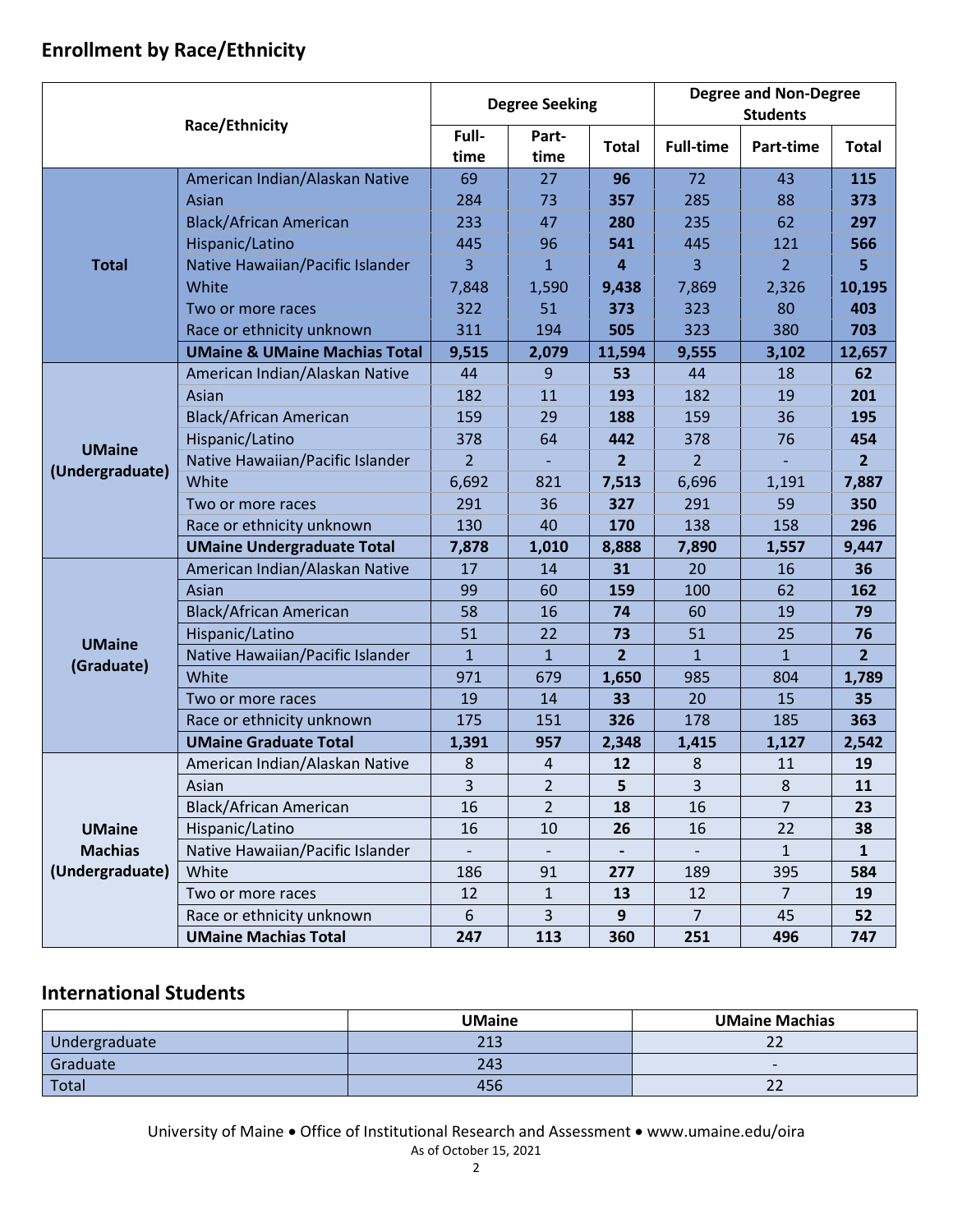# **Enrollment by Race/Ethnicity**

| <b>Race/Ethnicity</b> |                                          |                | <b>Degree Seeking</b> |                | <b>Degree and Non-Degree</b><br><b>Students</b> |                |                |
|-----------------------|------------------------------------------|----------------|-----------------------|----------------|-------------------------------------------------|----------------|----------------|
|                       |                                          |                |                       | Total          | <b>Full-time</b>                                | Part-time      | Total          |
|                       | American Indian/Alaskan Native           | 69             | 27                    | 96             | 72                                              | 43             | 115            |
|                       | Asian                                    | 284            | 73                    | 357            | 285                                             | 88             | 373            |
|                       | <b>Black/African American</b>            | 233            | 47                    | 280            | 235                                             | 62             | 297            |
|                       | Hispanic/Latino                          | 445            | 96                    | 541            | 445                                             | 121            | 566            |
| <b>Total</b>          | Native Hawaiian/Pacific Islander         | 3              | $\mathbf{1}$          | 4              | 3                                               | $\overline{2}$ | 5              |
|                       | White                                    | 7,848          | 1,590                 | 9,438          | 7,869                                           | 2,326          | 10,195         |
|                       | Two or more races                        | 322            | 51                    | 373            | 323                                             | 80             | 403            |
|                       | Race or ethnicity unknown                | 311            | 194                   | 505            | 323                                             | 380            | 703            |
|                       | <b>UMaine &amp; UMaine Machias Total</b> | 9,515          | 2,079                 | 11,594         | 9,555                                           | 3,102          | 12,657         |
|                       | American Indian/Alaskan Native           | 44             | 9                     | 53             | 44                                              | 18             | 62             |
|                       | Asian                                    | 182            | 11                    | 193            | 182                                             | 19             | 201            |
|                       | <b>Black/African American</b>            | 159            | 29                    | 188            | 159                                             | 36             | 195            |
|                       | Hispanic/Latino                          | 378            | 64                    | 442            | 378                                             | 76             | 454            |
| <b>UMaine</b>         | Native Hawaiian/Pacific Islander         | 2              |                       | $\mathbf{2}$   | $\overline{2}$                                  |                | $\overline{2}$ |
| (Undergraduate)       | White                                    | 6,692          | 821                   | 7,513          | 6,696                                           | 1,191          | 7,887          |
|                       | Two or more races                        | 291            | 36                    | 327            | 291                                             | 59             | 350            |
|                       | Race or ethnicity unknown                | 130            | 40                    | 170            | 138                                             | 158            | 296            |
|                       | <b>UMaine Undergraduate Total</b>        | 7,878          | 1,010                 | 8,888          | 7,890                                           | 1,557          | 9,447          |
|                       | American Indian/Alaskan Native           | 17             | 14                    | 31             | 20                                              | 16             | 36             |
|                       | Asian                                    | 99             | 60                    | 159            | 100                                             | 62             | 162            |
|                       | <b>Black/African American</b>            | 58             | 16                    | 74             | 60                                              | 19             | 79             |
|                       | Hispanic/Latino                          | 51             | 22                    | 73             | 51                                              | 25             | 76             |
| <b>UMaine</b>         | Native Hawaiian/Pacific Islander         | $\mathbf{1}$   | $\mathbf{1}$          | $\overline{2}$ | $\mathbf{1}$                                    | $\mathbf{1}$   | $\overline{2}$ |
| (Graduate)            | White                                    | 971            | 679                   | 1,650          | 985                                             | 804            | 1,789          |
|                       | Two or more races                        | 19             | 14                    | 33             | 20                                              | 15             | 35             |
|                       | Race or ethnicity unknown                | 175            | 151                   | 326            | 178                                             | 185            | 363            |
|                       | <b>UMaine Graduate Total</b>             | 1,391          | 957                   | 2,348          | 1,415                                           | 1,127          | 2,542          |
|                       | American Indian/Alaskan Native           | 8              | 4                     | 12             | 8                                               | 11             | 19             |
|                       | Asian                                    | 3              | $\overline{2}$        | 5              | $\overline{3}$                                  | $\bf 8$        | 11             |
|                       | Black/African American                   | 16             | $\overline{2}$        | 18             | 16                                              | $\overline{7}$ | 23             |
| <b>UMaine</b>         | Hispanic/Latino                          | 16             | 10                    | 26             | 16                                              | 22             | 38             |
| <b>Machias</b>        | Native Hawaiian/Pacific Islander         |                |                       |                |                                                 | $\mathbf{1}$   | $\mathbf{1}$   |
| (Undergraduate)       | White                                    | 186            | 91                    | 277            | 189                                             | 395            | 584            |
|                       | Two or more races                        | 12             | $\mathbf{1}$          | 13             | 12                                              | $\overline{7}$ | 19             |
|                       | Race or ethnicity unknown                | $6\phantom{1}$ | $\overline{3}$        | 9 <sup>°</sup> | $\overline{7}$                                  | 45             | 52             |
|                       | <b>UMaine Machias Total</b>              | 247            | 113                   | 360            | 251                                             | 496            | 747            |

# **International Students**

|               | <b>UMaine</b> | <b>UMaine Machias</b>    |
|---------------|---------------|--------------------------|
| Undergraduate | 213           | $\sim$<br>ے              |
| Graduate      | 243           | $\overline{\phantom{0}}$ |
| Total         | 456           | $\sim$<br>ے              |

University of Maine • Office of Institutional Research and Assessment • www.umaine.edu/oira As of October 15, 2021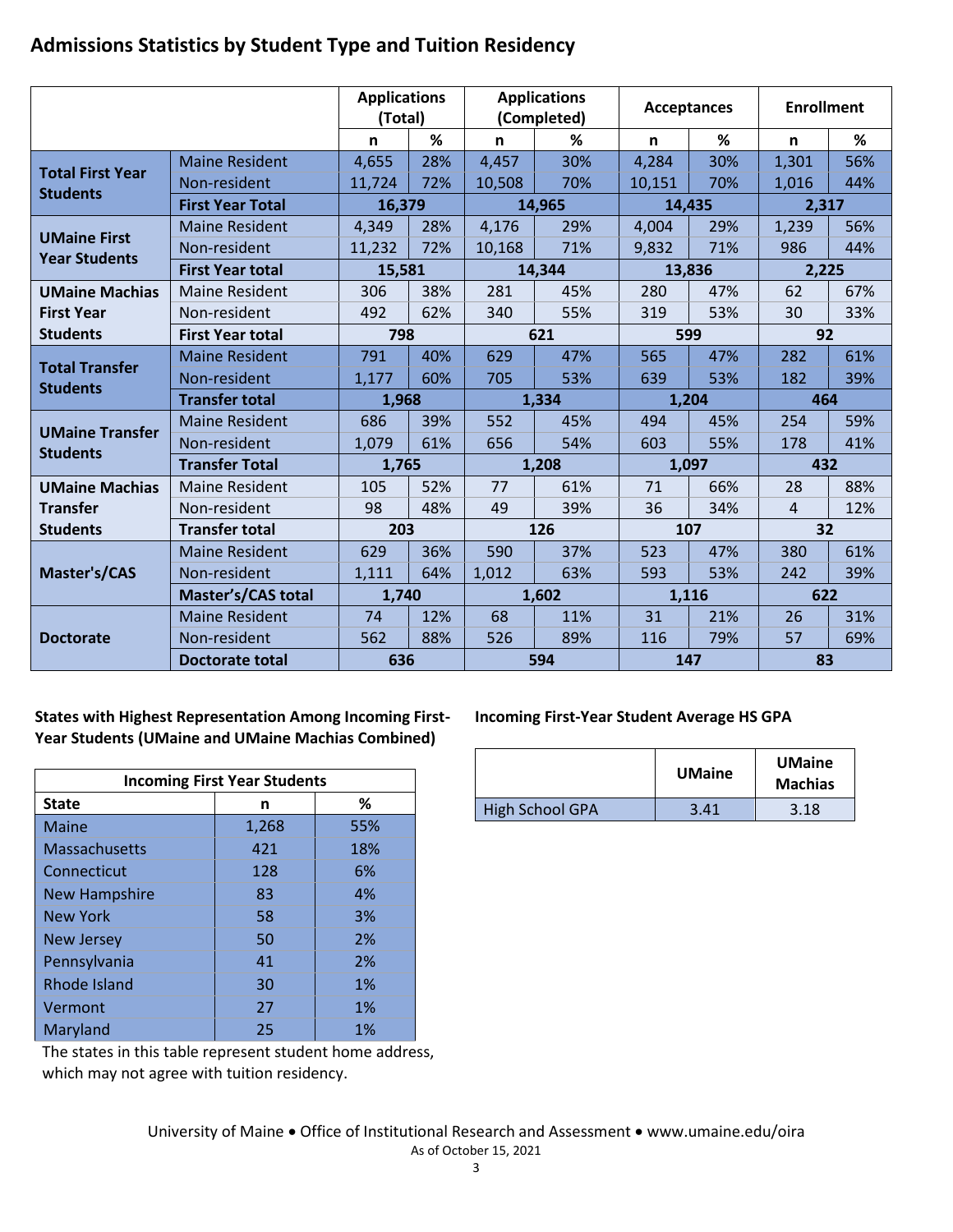# **Admissions Statistics by Student Type and Tuition Residency**

|                                             |                         |             | <b>Applications</b><br><b>Applications</b><br>(Total)<br>(Completed) |             | <b>Acceptances</b> |        | <b>Enrollment</b> |                |     |
|---------------------------------------------|-------------------------|-------------|----------------------------------------------------------------------|-------------|--------------------|--------|-------------------|----------------|-----|
|                                             |                         | $\mathbf n$ | %                                                                    | $\mathbf n$ | %                  | n.     | %                 | $\mathbf n$    | %   |
|                                             | <b>Maine Resident</b>   | 4,655       | 28%                                                                  | 4,457       | 30%                | 4,284  | 30%               | 1,301          | 56% |
| <b>Total First Year</b><br><b>Students</b>  | Non-resident            | 11,724      | 72%                                                                  | 10,508      | 70%                | 10,151 | 70%               | 1,016          | 44% |
|                                             | <b>First Year Total</b> | 16,379      |                                                                      |             | 14,965             |        | 14,435            | 2,317          |     |
|                                             | <b>Maine Resident</b>   | 4,349       | 28%                                                                  | 4,176       | 29%                | 4,004  | 29%               | 1,239          | 56% |
| <b>UMaine First</b><br><b>Year Students</b> | Non-resident            | 11,232      | 72%                                                                  | 10,168      | 71%                | 9,832  | 71%               | 986            | 44% |
|                                             | <b>First Year total</b> | 15,581      |                                                                      |             | 14,344             |        | 13,836            | 2,225          |     |
| <b>UMaine Machias</b>                       | <b>Maine Resident</b>   | 306         | 38%                                                                  | 281         | 45%                | 280    | 47%               | 62             | 67% |
| <b>First Year</b>                           | Non-resident            | 492         | 62%                                                                  | 340         | 55%                | 319    | 53%               | 30             | 33% |
| <b>Students</b>                             | <b>First Year total</b> | 798         |                                                                      |             | 621                |        | 599               | 92             |     |
| <b>Total Transfer</b>                       | <b>Maine Resident</b>   | 791         | 40%                                                                  | 629         | 47%                | 565    | 47%               | 282            | 61% |
| <b>Students</b>                             | Non-resident            | 1,177       | 60%                                                                  | 705         | 53%                | 639    | 53%               | 182            | 39% |
|                                             | <b>Transfer total</b>   | 1,968       |                                                                      | 1,334       |                    | 1,204  |                   | 464            |     |
| <b>UMaine Transfer</b>                      | <b>Maine Resident</b>   | 686         | 39%                                                                  | 552         | 45%                | 494    | 45%               | 254            | 59% |
| <b>Students</b>                             | Non-resident            | 1,079       | 61%                                                                  | 656         | 54%                | 603    | 55%               | 178            | 41% |
|                                             | <b>Transfer Total</b>   | 1,765       |                                                                      |             | 1,208              | 1,097  |                   | 432            |     |
| <b>UMaine Machias</b>                       | <b>Maine Resident</b>   | 105         | 52%                                                                  | 77          | 61%                | 71     | 66%               | 28             | 88% |
| <b>Transfer</b>                             | Non-resident            | 98          | 48%                                                                  | 49          | 39%                | 36     | 34%               | $\overline{4}$ | 12% |
| <b>Students</b>                             | <b>Transfer total</b>   | 203         |                                                                      |             | 126                |        | 107               | 32             |     |
|                                             | <b>Maine Resident</b>   | 629         | 36%                                                                  | 590         | 37%                | 523    | 47%               | 380            | 61% |
| Master's/CAS                                | Non-resident            | 1,111       | 64%                                                                  | 1,012       | 63%                | 593    | 53%               | 242            | 39% |
|                                             | Master's/CAS total      | 1,740       |                                                                      |             | 1,602              | 1,116  |                   | 622            |     |
|                                             | <b>Maine Resident</b>   | 74          | 12%                                                                  | 68          | 11%                | 31     | 21%               | 26             | 31% |
| <b>Doctorate</b>                            | Non-resident            | 562         | 88%                                                                  | 526         | 89%                | 116    | 79%               | 57             | 69% |
|                                             | <b>Doctorate total</b>  | 636         |                                                                      |             | 594                |        | 147               | 83             |     |

**States with Highest Representation Among Incoming First-Year Students (UMaine and UMaine Machias Combined)**

| <b>Incoming First Year Students</b> |       |     |  |  |
|-------------------------------------|-------|-----|--|--|
| <b>State</b>                        | n     | %   |  |  |
| Maine                               | 1,268 | 55% |  |  |
| Massachusetts                       | 421   | 18% |  |  |
| Connecticut                         | 128   | 6%  |  |  |
| <b>New Hampshire</b>                | 83    | 4%  |  |  |
| <b>New York</b>                     | 58    | 3%  |  |  |
| <b>New Jersey</b>                   | 50    | 2%  |  |  |
| Pennsylvania                        | 41    | 2%  |  |  |
| Rhode Island                        | 30    | 1%  |  |  |
| Vermont                             | 27    | 1%  |  |  |
| Maryland                            | 25    | 1%  |  |  |

The states in this table represent student home address, which may not agree with tuition residency.

#### **Incoming First-Year Student Average HS GPA**

|                 | <b>UMaine</b> | <b>UMaine</b><br><b>Machias</b> |
|-----------------|---------------|---------------------------------|
| High School GPA | 3.41          | 3.18                            |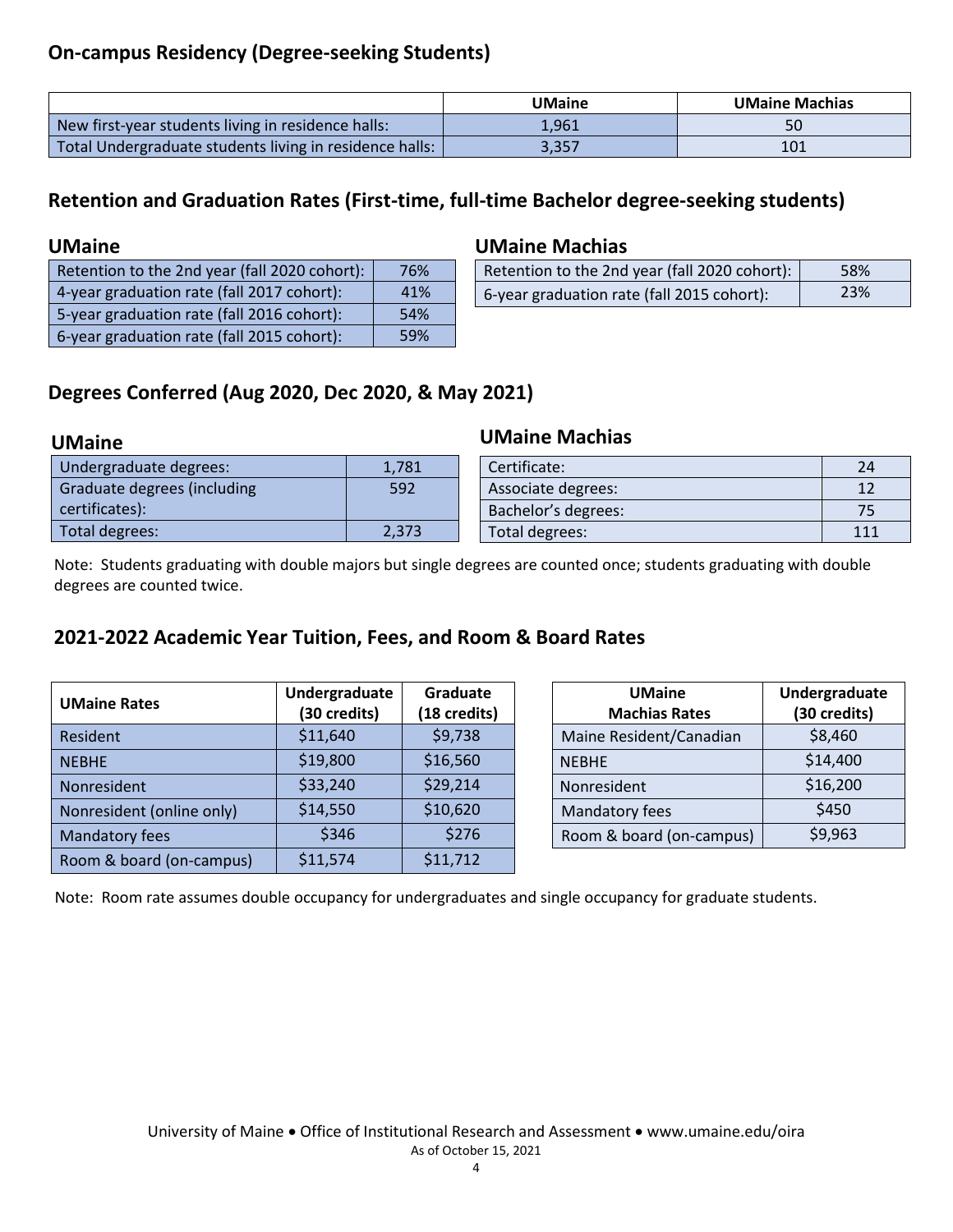# **On-campus Residency (Degree-seeking Students)**

|                                                         | <b>UMaine</b> | <b>UMaine Machias</b> |
|---------------------------------------------------------|---------------|-----------------------|
| New first-year students living in residence halls:      | 1.961         | 50                    |
| Total Undergraduate students living in residence halls: | 3,357         | 101                   |

### **Retention and Graduation Rates (First-time, full-time Bachelor degree-seeking students)**

#### **UMaine**

| Retention to the 2nd year (fall 2020 cohort): | 76% |
|-----------------------------------------------|-----|
| 4-year graduation rate (fall 2017 cohort):    | 41% |
| 5-year graduation rate (fall 2016 cohort):    | 54% |
| 6-year graduation rate (fall 2015 cohort):    | 59% |

#### **UMaine Machias**

**UMaine Machias**

| Retention to the 2nd year (fall 2020 cohort): | 58% |
|-----------------------------------------------|-----|
| 6-year graduation rate (fall 2015 cohort):    | 23% |

# **Degrees Conferred (Aug 2020, Dec 2020, & May 2021)**

| <b>UMaine</b>               |       | UMaine Machias      |     |  |
|-----------------------------|-------|---------------------|-----|--|
| Undergraduate degrees:      | 1,781 | Certificate:        | 24  |  |
| Graduate degrees (including | 592   | Associate degrees:  |     |  |
| certificates):              |       | Bachelor's degrees: |     |  |
| Total degrees:              | 2,373 | Total degrees:      | 111 |  |

Note: Students graduating with double majors but single degrees are counted once; students graduating with double degrees are counted twice.

### **2021-2022 Academic Year Tuition, Fees, and Room & Board Rates**

| <b>UMaine Rates</b>       | Undergraduate<br>(30 credits) | Graduate<br>(18 credits) |
|---------------------------|-------------------------------|--------------------------|
| Resident                  | \$11,640                      | \$9,738                  |
| <b>NEBHE</b>              | \$19,800                      | \$16,560                 |
| Nonresident               | \$33,240                      | \$29,214                 |
| Nonresident (online only) | \$14,550                      | \$10,620                 |
| <b>Mandatory fees</b>     | \$346                         | \$276                    |
| Room & board (on-campus)  | \$11,574                      | \$11,712                 |

| <b>UMaine</b>            | Undergraduate |  |  |
|--------------------------|---------------|--|--|
| <b>Machias Rates</b>     | (30 credits)  |  |  |
| Maine Resident/Canadian  | \$8,460       |  |  |
| <b>NEBHE</b>             | \$14,400      |  |  |
| Nonresident              | \$16,200      |  |  |
| Mandatory fees           | \$450         |  |  |
| Room & board (on-campus) | \$9,963       |  |  |

Note: Room rate assumes double occupancy for undergraduates and single occupancy for graduate students.